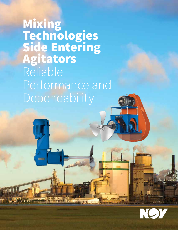Mixing Technologies Side Entering Agitators Reliable Performance and Dependability

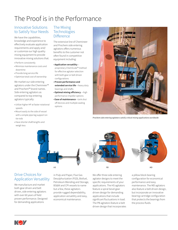# The Proof is in the Performance

### Innovative Solutions to Satisfy Your Needs

We have the capabilities, knowledge and experience to effectively evaluate application requirements and apply and/ or customize our high quality mixing equipment to provide innovative mixing solutions that:

- Perform consistently
- Minimize maintenance costs and downtime
- Provide long service life
- Optimize total cost of ownership

We market our side entering agitators under the Chemineer™ and Prochem™ brand names. Side entering agitators as compared to top entering agitators typically:

- Utilize higher HP at faster rotational speeds
- Mount easily to the side of vessel with a simple pipe leg support on tie rods
- Have shorter shaft lengths and weigh less

### The Mixing **Technologies Difference**

The extensive line of Chemineer and Prochem side entering agitators offers numerous benefits to the customer not often found in competitive equipment including:

- **Application versatility** proprietary ChemScale™ method for effective agitator selection with both gear or belt driven configurations
- **Proven performance and extended service life**—heavy duty bearings and shafts
- **Optimal mixing efficiency** —high performance impeller options
- **Ease of maintenance**—tank shut off devices and multiple sealing options



*Prochem side entering agitators satisfy critical mixing applications worldwide*



### Drive Choices for Application Versatility

We manufacture and market both gear driven and belt driven, side entering agitators with over 60 years of field proven performance. Designed for demanding applications

in Pulp and Paper, Flue Gas Desulphurization (FGD), Biofuel, Petroleum Blending and Storage, BS&W and CPI vessels to name but a few, these agitators provide rugged dependability, application versatility and easy, economical maintenance.

We offer three side entering agitator designs to meet the specific requirements of your applications. The HS agitators feature a spiral bevel gear driven design for demanding applications that include significant fluctuations in load. The PB agitators feature a belt driven design that incorporates



a pillow block bearing configuration for economical performance and easy maintenance. The MD agitators also feature a belt driven design, but incorporate an innovative bearing cartridge configuration that protects the bearings from the process fluids.

NO 7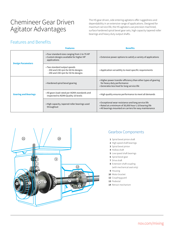# Chemineer Gear Driven Agitator Advantages

The HS gear driven, side entering agitators offer ruggedness and dependability in an extensive range of applications. Designed for maximum service life, the HS agitators use precision machined, surface hardened spiral bevel gear sets, high capacity tapered roller bearings and heavy duty output shafts.

# Features and Benefits

|                             | <b>Features</b>                                                                                           | <b>Benefits</b>                                                                                                                                                         |  |  |  |  |
|-----------------------------|-----------------------------------------------------------------------------------------------------------|-------------------------------------------------------------------------------------------------------------------------------------------------------------------------|--|--|--|--|
| <b>Design Parameters</b>    | • Four standard sizes ranging from 1 to 75 HP<br>• Custom designs available for higher HP<br>applications | • Extensive power options to satisfy a variety of applications                                                                                                          |  |  |  |  |
|                             | • Two standard output speeds<br>-350 and 230 rpm for 60 Hz designs<br>- 290 and 190 rpm for 50 Hz designs | • Application versatility to meet specific requirements                                                                                                                 |  |  |  |  |
|                             | • Hardened spiral bevel gearing                                                                           | . Higher power transfer efficiency than other types of gearing<br>for heavy duty performance<br>• Generates less heat for long service life                             |  |  |  |  |
| <b>Gearing and Bearings</b> | • All gears load rated per AGMA standards and<br>inspected to AGMA Quality 10 levels                      | • High quality ensures performance to meet all demands                                                                                                                  |  |  |  |  |
|                             | • High capacity, tapered roller bearings used<br>throughout                                               | • Exceptional wear resistance and long service life<br>• Rated at a minimum of 30,000 hour L-10 bearing life<br>• All bearings mounted on carriers for easy maintenance |  |  |  |  |



## Gearbox Components

- **1** Spiral bevel pinion shaft
- **2** High speed shaft bearings
- **3** Spiral bevel pinion
- **4** Hollow shaft
- **5** Low speed shaft bearings
- **6** Spiral bevel gear
- **7** Drive shaft
- **8** Extension shaft coupling (with mechanical seal only)
- **9** Housing
- **10** Motor bracket
- **12** Coupling guard
- **13** Pedestal
- **14** Retract mechanism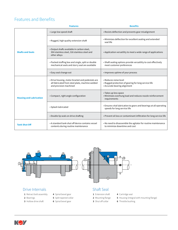## Features and Benefits

|                                | <b>Features</b>                                                                                                               | <b>Benefits</b>                                                                                                                   |  |  |  |
|--------------------------------|-------------------------------------------------------------------------------------------------------------------------------|-----------------------------------------------------------------------------------------------------------------------------------|--|--|--|
|                                | • Large low speed shaft                                                                                                       | • Resists deflection and prevents gear misalignment                                                                               |  |  |  |
| <b>Shafts and Seals</b>        | · Rugged, high quality extension shaft                                                                                        | · Minimizes deflection for excellent sealing and extended<br>seal life                                                            |  |  |  |
|                                | • Output shafts available in carbon steel,<br>304 stainless steel, 316 stainless steel and<br>other alloys                    | • Application versatility to meet a wide range of applications                                                                    |  |  |  |
|                                | • Packed stuffing box and single, split or double<br>mechanical seals and slurry seal are available                           | • Shaft sealing options provide versatility to cost effectively<br>meet customer preferences<br>• Improves uptime of your process |  |  |  |
|                                | • Easy seal change out                                                                                                        |                                                                                                                                   |  |  |  |
|                                | • Drive housing, motor bracket and pedestals are<br>all fabricated from steel plate, machine welded<br>and precision machined | • Reduces noise level<br>• Rugged protection of gearing for long service life<br>• Accurate bearing alignment                     |  |  |  |
| <b>Housing and Lubrication</b> | • Compact, right angle configuration                                                                                          | • Takes up less space<br>· Minimizes overhung load and reduces nozzle reinforcement<br>requirements                               |  |  |  |
|                                | · Splash lubricated                                                                                                           | • Ensures vital lubrication to gears and bearings at all operating<br>speeds for long service life                                |  |  |  |
|                                | • Double lip seals on drive shafting                                                                                          | • Prevent oil loss or contaminant infiltration for long service life                                                              |  |  |  |
| <b>Tank Shut Off</b>           | • A standard tank shut off device contains vessel<br>contents during routine maintenance                                      | . No need to disassemble the agitator for routine maintenance<br>to minimize downtime and cost                                    |  |  |  |



- **1** Retract bolt assembly
- **2** Bearings
- **3** Hollow drive shaft
- **4** Spiral bevel gear **5** Split tapered collar
- **6** Spiral bevel gear

- **1** Extension shaft
- **2** Mounting flange
- **3** Shut off collar
- **4** Cartridge seal
- **5** Housing (integral with mounting flange)
- **6** Throttle bushing

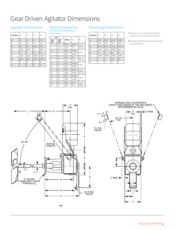# Gear Driven Agitator Dimensions

| <b>Case Size</b> | 1      | 2      | 3       | 4       |  |
|------------------|--------|--------|---------|---------|--|
| B                | 11"    | 11"    | 14"     | 17.25"  |  |
| C                | 6.5"   | 6.5"   | 8.5"    | 10.5"   |  |
| D                | 25.5"  | 25.5"  | 32.125" | 38.5"   |  |
| E                | 19.75" | 19.75" | 25"     | 28.75"  |  |
| F                | 8"     | 8"     | 12"     | 12"     |  |
| G                | 5.125" | 5.125" | 7.0625" | 9.3125" |  |
| H                | 10.25" | 10.25" | 14.125" | 18.625" |  |
| J                | 26"    | 26"    | 33"     | 38"     |  |
| V                | 2"     | 2"     | 3"      | 3.5"    |  |

### Motor Dimensions (for totally enclosed and explosion proof,

1750 rpm motors)

| HP ①        |             |       |         |         |  |
|-------------|-------------|-------|---------|---------|--|
| 1150<br>rpm | 1750<br>rpm | Frame | A       | P       |  |
| 1           | 1           | 143T  | 12.25"  | 7.75"   |  |
| 1           | 1.5, 2      | 145T  | 13"     |         |  |
| 1.5         | 3           | 182T  | 14.375" | 9.25"   |  |
| 2           | 5           | 184T  | 15.375" |         |  |
| 3           | 7.5         | 213T  | 18"     |         |  |
| 5           | 10          | 215T  | 29.5"   | 11"     |  |
| 7.5         | 15          | 254T  | 22.875" | 12.75"  |  |
| 10          | 20          | 256T  | 24.625" |         |  |
| 15          | 25          | 284T  | 26.625" | 14.5"   |  |
| 20          | 30          | 286T  | 28.125" |         |  |
| 25          | 40          | 324T  | 39.625" | 16.875" |  |
| 30          | 50          | 326T  | 31.125" |         |  |
| 40          | 60          | 364T  | 32.5"   |         |  |
| 50          | 75          | 365T  | 33.5"   | 18.5"   |  |

### Agitator Dimensions Motor Dimensions Mounting Dimensions

| <b>Case Size</b> | 1           | $\overline{2}$ | 3           | 4           |  |
|------------------|-------------|----------------|-------------|-------------|--|
| Κ                | 20.75"      | 20.75"         | 27.125"     | 31.625"     |  |
| L                | 6.25"       | 6.25"          | 7.75"       | 9.875"      |  |
| M                | $66" - 72"$ | $66" - 72"$    | $78" - 84"$ | $90" - 96"$ |  |
| N                | 21.375"     | 21.375"        | 27.6875"    | 33.5"       |  |
| R                | 27"         | 27"            | 34"         | 37"         |  |
| s                | 0.4375"     | 0.4375"        | 0.5625"     | 0.6875"     |  |
| T                | 2"          | 2"             | 2.25"       | 2.5"        |  |
| U                | 4"          | 4"             | 4.5"        | 5"          |  |

➀ 230 rpm units use 1150 rpm motors; 350 rpm units use 1750 rpm motors

➁ Impeller diameter and other options to suit application



**HS**

20° 30°<br>TYP ರ a  $\overline{A}$ Ÿ  $3"$  MAX  $\rightarrow$ T U) (G⊁  $\mathsf H$ 

OPTIONAL ROD TIE SUPPORTS<br>(EXACT POSITIONING OF THE ROD SHOES<br>DETERMINDED IN FIELD)

 $\frac{P}{DIA}$ 

 $\leftarrow$  2" MAX.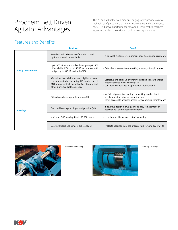# Prochem Belt Driven Agitator Advantages

The PB and MD belt driven, side entering agitators provide easy to maintain configurations that minimize downtime and maintenance costs. Field proven performance for over 40 years makes Prochem agitators the ideal choice for a broad range of applications.

# Features and Benefits

|                          | <b>Features</b>                                                                                                                                                                                  | <b>Benefits</b>                                                                                                                                                       |  |  |  |  |
|--------------------------|--------------------------------------------------------------------------------------------------------------------------------------------------------------------------------------------------|-----------------------------------------------------------------------------------------------------------------------------------------------------------------------|--|--|--|--|
|                          | • Standard belt drive service factor is 1.3 with<br>optional 1.5 and 2.0 available                                                                                                               | • Aligns with customers' equipment specification requirements                                                                                                         |  |  |  |  |
| <b>Design Parameters</b> | • Up to 300 HP as standard with designs up to 400<br>HP available (PB); up to 250 HP as standard with<br>designs up to 500 HP available (MD)                                                     | • Extensive power options to satisfy a variety of applications                                                                                                        |  |  |  |  |
|                          | • Wetted parts available in many highly corrosion<br>resistant materials including 316 stainless steel,<br>317L stainless steel, hastelloy C or titanium and<br>other alloys available as needed | • Corrosive and abrasive environments can be easily handled<br>• Extends service life of wetted parts<br>• Can meet a wide range of application requirements          |  |  |  |  |
|                          | . Pillow block bearing configuration (PB)                                                                                                                                                        | . No field alignment of bearings or packing needed due to<br>prealignment on integral mounting base<br>• Easily accessible bearings access for economical maintenance |  |  |  |  |
| <b>Bearings</b>          | • Enclosed bearing cartridge configuration (MD)                                                                                                                                                  | · Innovative design allows quick and easy replacement of<br>bearings as a unit to reduce downtime                                                                     |  |  |  |  |
|                          | . Minimum B-10 bearing life of 100,000 hours                                                                                                                                                     | • Long bearing life for low cost of ownership                                                                                                                         |  |  |  |  |
|                          | • Bearing shields and slingers are standard                                                                                                                                                      | . Protects bearings from the process fluid for long bearing life                                                                                                      |  |  |  |  |





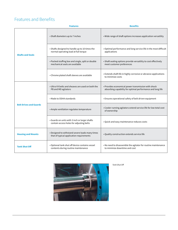# Features and Benefits

|                               | <b>Features</b>                                                                                                                                                                          | <b>Benefits</b>                                                                                                   |  |  |  |  |
|-------------------------------|------------------------------------------------------------------------------------------------------------------------------------------------------------------------------------------|-------------------------------------------------------------------------------------------------------------------|--|--|--|--|
|                               | • Shaft diameters up to 7 inches                                                                                                                                                         | • Wide range of shaft options increases application versatility                                                   |  |  |  |  |
| <b>Shafts and Seals</b>       | • Shafts designed to handle up to 10 times the<br>normal operating load at full torque                                                                                                   | . Optimal performance and long service life in the most difficult<br>applications                                 |  |  |  |  |
|                               | • Packed stuffing box and single, split or double<br>mechanical seals are available                                                                                                      | • Shaft sealing options provide versatility to cost effectively<br>meet customer preferences                      |  |  |  |  |
|                               | • Chrome plated shaft sleeves are available                                                                                                                                              | • Extends shaft life in highly corrosive or abrasive applications<br>to minimize costs                            |  |  |  |  |
|                               | • Ultra VX belts and sheaves are used on both the<br>PB and MD agitators                                                                                                                 | • Provides economical power transmission with shock<br>absorbing capability for optimal performance and long life |  |  |  |  |
|                               | • Made to OSHA standards                                                                                                                                                                 | • Ensures operational safety of belt driven equipment                                                             |  |  |  |  |
| <b>Belt Drives and Guards</b> | • Ample ventilation regulates temperature                                                                                                                                                | • Cooler running agitators extend service life for low total cost<br>of ownership                                 |  |  |  |  |
|                               | • Guards on units with 3 inch or larger shafts<br>contain access holes for adjusting belts                                                                                               | . Quick and easy maintenance reduces costs                                                                        |  |  |  |  |
| <b>Housing and Mounts</b>     | • Designed to withstand severe loads many times<br>that of typical application requirements                                                                                              | · Quality construction extends service life                                                                       |  |  |  |  |
| <b>Tank Shut Off</b>          | • Optional tank shut off device contains vessel<br>. No need to disassemble the agitator for routine maintenance<br>to minimize downtime and cost<br>contents during routine maintenance |                                                                                                                   |  |  |  |  |



Tank Shut Off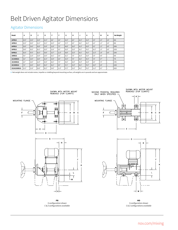# Belt Driven Agitator Dimensions

## Agitator Dimensions

| Model         | A     | В     | c     | D     | F     | F     | G     | н     | J      | K     | г     | M    | N               | <b>Net Weight</b> |
|---------------|-------|-------|-------|-------|-------|-------|-------|-------|--------|-------|-------|------|-----------------|-------------------|
| <b>20PB1S</b> | 20.5" | 23.0" | 23.0" | 22.3" | 8.6"  | 5.8"  | 34.3" | 8.0"  | 120.3" | 31.8" | 4.9"  | 1.0" | 3.8"            | 400               |
| 30PB1S        | 20.5" | 29.0" | 32.3" | 25.2" | 10.5" | 6.8"  | 37.3" | 8.0"  | 28.1"  | 44.3" | 6.6"  | 1.3" | 3.8"            | 890               |
| 40PB1S        | 30.0" | 34.0" | 43.8" | 33.8" | 12.8" | 7.3"  | 48.8" | 10.0" | 41.9"  | 63.8" | 8.5"  | 1.3" | 4.8"            | 2000              |
| 50PB1S        | 39.0" | 43.0" | 56.3" | 35.9" | 15.4" | 9.0"  | 55.9" | 15.0" | 50.1"  | 78.3" | 10.3" | 1.5" | 4.8"            | 2530              |
| 60PB1S        | 43.0" | 47.0" | 56.3" | 39.8" | 15.7" | 11.0" | 59.8" | 15.0" | 50.1"  | 78.3" | 13.3" | 1.8" | 4.8"            | 3240              |
| <b>20MD1S</b> | 4.0"  | 12.0" | 15.0" | 23.0" | 20.1" | 5.8"  | 32.1" | 7.0"  | 20.3"  | 31.8" | 5.0"  | 4.8" | -               | 350               |
| 25/30MD1S     | 5.0"  | 14.0" | 18.0" | 32.3" | 23.4" | 6.8"  | 34.3" | 7.0"  | 128.1" | 44.3" | 7.0"  | 3.7" | $\qquad \qquad$ | 770               |
| 35/40MD1S     | 6.0"  | 18.0" | 22.0" | 43.8" | 28.1" | 7.3"  | 45.6" | 10.0" | 41.9"  | 63.8" | 8.6"  | 7.4" | -               | 1740              |
| 45/50MD1S     | 7.0"  | 24.0" | 30.0" | 56.3" | 36.1" | 9.0"  | 57.1" | 15.0" | 50.1"  | 78.3" | 10.0" | 5.8" | $\qquad \qquad$ | 2200              |
| 55/60/65MD1S  | 10.3" | 23.8" | 28.8" | 56.3" | 34.0" | 11.0" | 57.5" | 15.0" | 50.1"  | 78.3" | 11.0" | 8.3" | -               | 2820              |

**1** Net weight does not include motor, impeller or shafting beyond mounting surface, all weights are in pounds and are approximate



**PB** S configuration shown C & Z configurations available





**MD** S configuration shown C & Z configurations available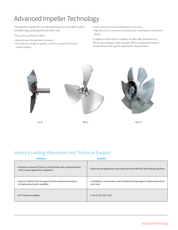# Advanced Impeller Technology

The premier impeller for our side entering units is the WSE-3 which provides high pumping and low shear rates.

This proven performer offers:

- Reduced wear through lower tip speeds
- Hydrodynamic design for greater cavitation resistance than other impeller designs
- Easier maintenance with bolted blade construction
- High efficiency for maximum pumping action resulting from its hydrofoil design

In addition to the WSE-3 impeller, we also offer the Mark III or HE-3S upon request. Each impeller offers unique performance characteristics for specific application requirements.



*HE-3S WSE-3 Mark III*

# Industry Leading Aftermarket and Technical Support

| <b>Features</b>                                                                                          | <b>Benefits</b>                                                                       |
|----------------------------------------------------------------------------------------------------------|---------------------------------------------------------------------------------------|
| • Extensive network of factory trained field sales representatives<br>and in house application engineers | • Experienced application specialists provide effective fluid mixing solutions        |
| • Superior field technical support and an extensive inventory<br>of replacement parts available          | . Installation, maintenance and troubleshooting support reduces downtime<br>and costs |
| • 24/7 hotline available                                                                                 | $\cdot$ Call +1-937-926-1724                                                          |